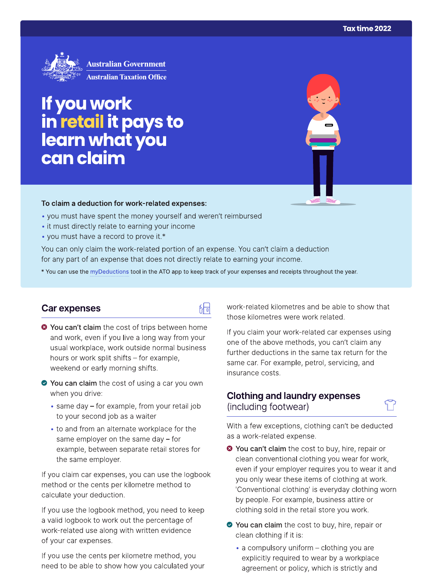

# If you work<br>in retail it pays to<br>learn what you can claim

#### To claim a deduction for work-related expenses:

- you must have spent the money yourself and weren't reimbursed
- it must directly relate to earning your income
- you must have a record to prove it.\*

You can only claim the work-related portion of an expense. You can't claim a deduction for any part of an expense that does not directly relate to earning your income.

\* You can use the myDeductions tool in the ATO app to keep track of your expenses and receipts throughout the year.

## Car expenses

- 品
- <sup>●</sup> You can't claim the cost of trips between home and work, even if you live a long way from your usual workplace, work outside normal business hours or work split shifts - for example, weekend or early morning shifts.
- ◆ You can claim the cost of using a car you own when you drive:
	- same day for example, from your retail job to your second job as a waiter
	- to and from an alternate workplace for the same employer on the same day  $-$  for example, between separate retail stores for the same employer.

If you claim car expenses, you can use the logbook method or the cents per kilometre method to calculate your deduction.

If you use the logbook method, you need to keep a valid logbook to work out the percentage of work-related use along with written evidence of your car expenses.

If you use the cents per kilometre method, you need to be able to show how you calculated your work-related kilometres and be able to show that those kilometres were work related.

If you claim your work-related car expenses using one of the above methods, you can't claim any further deductions in the same tax return for the same car. For example, petrol, servicing, and insurance costs.

## **Clothing and laundry expenses** (including footwear)

With a few exceptions, clothing can't be deducted as a work-related expense.

- <sup>●</sup> You can't claim the cost to buy, hire, repair or clean conventional clothing you wear for work, even if your employer requires you to wear it and you only wear these items of clothing at work. 'Conventional clothing' is everyday clothing worn by people. For example, business attire or clothing sold in the retail store you work.
- ◆ You can claim the cost to buy, hire, repair or clean clothing if it is:
	- a compulsory uniform clothing you are explicitly required to wear by a workplace agreement or policy, which is strictly and